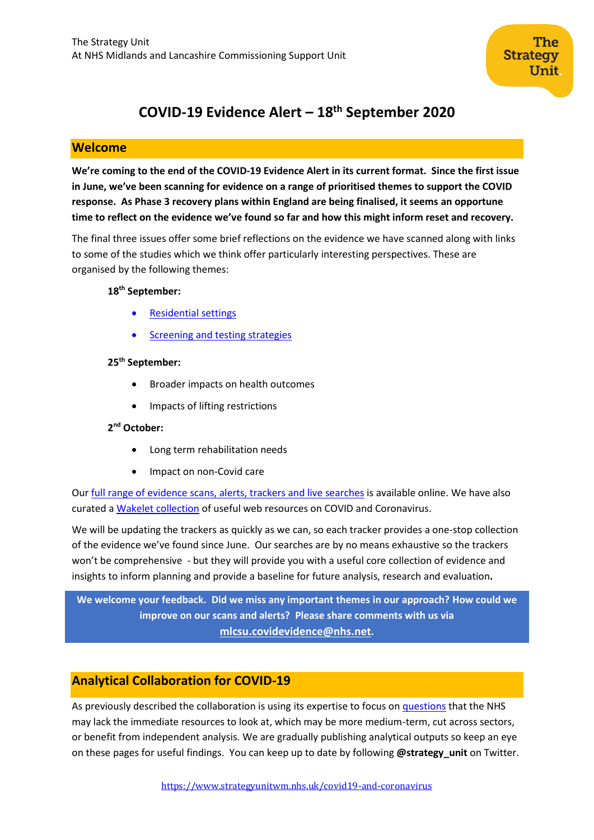

# **COVID-19 Evidence Alert – 18 th September 2020**

## **Welcome**

**We're coming to the end of the COVID-19 Evidence Alert in its current format. Since the first issue in June, we've been scanning for evidence on a range of prioritised themes to support the COVID response. As Phase 3 recovery plans within England are being finalised, it seems an opportune time to reflect on the evidence we've found so far and how this might inform reset and recovery.** 

The final three issues offer some brief reflections on the evidence we have scanned along with links to some of the studies which we think offer particularly interesting perspectives. These are organised by the following themes:

#### **18th September:**

- [Residential settings](#page-1-0)
- [Screening and testing](#page-2-0) strategies

#### **25th September:**

- Broader impacts on health outcomes
- Impacts of lifting restrictions

## **2 nd October:**

- Long term rehabilitation needs
- Impact on non-Covid care

Our [full range of evidence scans, alerts, trackers and live searches](https://www.strategyunitwm.nhs.uk/evidence-helping-you-keep-date) is available online. We have also curated [a Wakelet collection](https://wakelet.com/@Covid19Collaboration) of useful web resources on COVID and Coronavirus.

We will be updating the trackers as quickly as we can, so each tracker provides a one-stop collection of the evidence we've found since June. Our searches are by no means exhaustive so the trackers won't be comprehensive - but they will provide you with a useful core collection of evidence and insights to inform planning and provide a baseline for future analysis, research and evaluation**.** 

**We welcome your feedback. Did we miss any important themes in our approach? How could we improve on our scans and alerts? Please share comments with us via [mlcsu.covidevidence@nhs.net](mailto:mlcsu.covidevidence@nhs.net).**

# **Analytical Collaboration for COVID-19**

As previously described the collaboration is using its expertise to focus on [questions](https://www.strategyunitwm.nhs.uk/sites/default/files/2020-05/Covid%20Collaboration%20Summaries_0.pdf) that the NHS may lack the immediate resources to look at, which may be more medium-term, cut across sectors, or benefit from independent analysis. We are gradually publishing analytical outputs so keep an eye on these pages for useful findings. You can keep up to date by following **@strategy\_unit** on Twitter.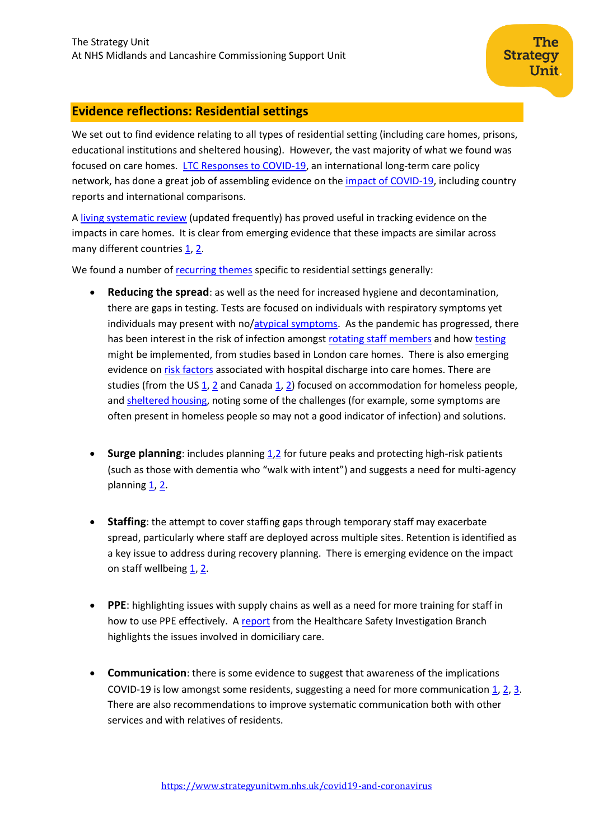## <span id="page-1-0"></span>**Evidence reflections: Residential settings**

We set out to find evidence relating to all types of residential setting (including care homes, prisons, educational institutions and sheltered housing). However, the vast majority of what we found was focused on care homes. [LTC Responses to COVID-19,](https://ltccovid.org/) an international long-term care policy network, has done a great job of assembling evidence on th[e impact of COVID-19,](https://ltccovid.org/wp-content/uploads/2020/08/COVID-19-mortality-in-long-term-care-final-Sat-29-1.pdf) including country reports and international comparisons.

**Strategy** 

**Unit** 

A [living systematic review](https://www.medrxiv.org/content/10.1101/2020.06.09.20125237v3) (updated frequently) has proved useful in tracking evidence on the impacts in care homes. It is clear from emerging evidence that these impacts are similar across many different countries [1,](https://www.researchgate.net/profile/Anja_Declercq/publication/342751229_Why_in_almost_all_countries_was_residential_care_for_older_people_so_badly_affected_by_COVID-19_Why_in_almost_all_countries_was_residential_care_for_older_people_so_badly_affected_by_COVID-19/links/5f04bc25299bf188160839bc/Why-in-almost-all-countries-was-residential-care-for-older-people-so-badly-affected-by-COVID-19-Why-in-almost-all-countries-was-residential-care-for-older-people-so-badly-affected-by-COVID-19.pdf) [2.](https://www.who.int/publications/i/item/WHO-2019-nCoV-Policy_Brief-Long-term_Care-2020.1)

We found a number of [recurring themes](https://www.strategyunitwm.nhs.uk/sites/default/files/2020-05/20200507%20Evidence%20rapid%20scan%201%20-%20Care%20Homes.pdf) specific to residential settings generally:

- **Reducing the spread**: as well as the need for increased hygiene and decontamination, there are gaps in testing. Tests are focused on individuals with respiratory symptoms yet individuals may present with no[/atypical symptoms.](https://www.medrxiv.org/content/10.1101/2020.07.07.20148148v1) As the pandemic has progressed, there has been interest in the risk of infection amongst [rotating staff members](https://www.journalofinfection.com/article/S0163-4453(20)30508-9/fulltext) and how [testing](https://academic.oup.com/jid/advance-article/doi/10.1093/infdis/jiaa565/5901911) might be implemented, from studies based in London care homes. There is also emerging evidence o[n risk factors](https://www.medrxiv.org/content/10.1101/2020.08.24.20168955v1) associated with hospital discharge into care homes. There are studies (from the US  $1, 2$  $1, 2$  and Canada  $1, 2$ ) focused on accommodation for homeless people, and [sheltered housing,](https://www.sciencedirect.com/science/article/pii/S0740547220303500?v=s5) noting some of the challenges (for example, some symptoms are often present in homeless people so may not a good indicator of infection) and solutions.
- **Surge planning**: includes planning [1,](https://onlinelibrary.wiley.com/doi/epdf/10.1111/jgs.16513)[2](https://www.policyalternatives.ca/sites/default/files/uploads/publications/National%20Office/2020/04/Reimagining%20residential%20care%20COVID%20crisis.pdf) for future peaks and protecting high-risk patients (such as those with dementia who "walk with intent") and suggests a need for multi-agency planning  $1, 2$  $1, 2$ .
- **Staffing**: the attempt to cover staffing gaps through temporary staff may exacerbate spread, particularly where staff are deployed across multiple sites. Retention is identified as a key issue to address during recovery planning. There is emerging evidence on the impact on staff wellbeing  $1, 2$  $1, 2$ .
- **PPE**: highlighting issues with supply chains as well as a need for more training for staff in how to use PPE effectively. A [report](https://www.hsib.org.uk/documents/240/PPE_care_workers_delivering_homecare_during_the_Covid-19_response.pdf) from the Healthcare Safety Investigation Branch highlights the issues involved in domiciliary care.
- **Communication**: there is some evidence to suggest that awareness of the implications COVID-19 is low amongst some residents, suggesting a need for more communication  $1, 2, 3$  $1, 2, 3$  $1, 2, 3$ . There are also recommendations to improve systematic communication both with other services and with relatives of residents.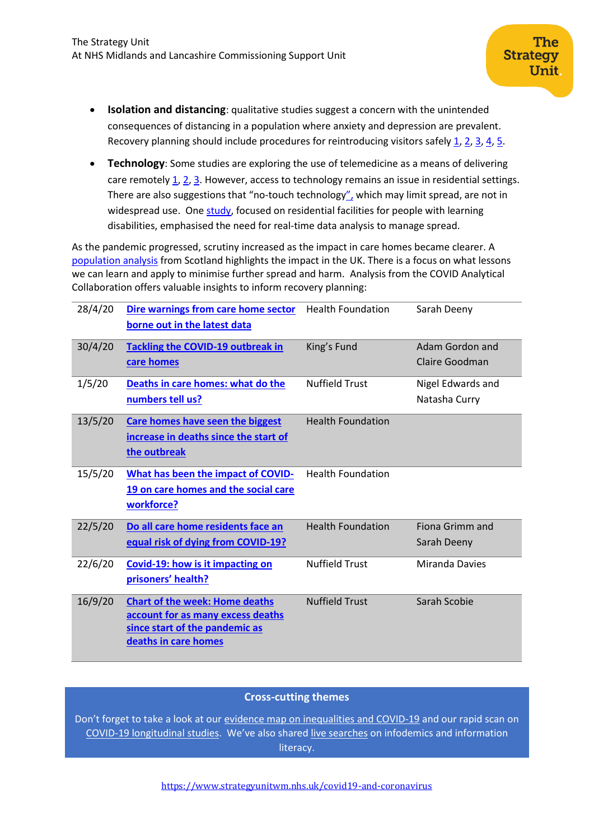- **Isolation and distancing**: qualitative studies suggest a concern with the unintended consequences of distancing in a population where anxiety and depression are prevalent. Recovery planning should include procedures for reintroducing visitors safely  $\underline{1}$ ,  $\underline{2}$ ,  $\underline{3}$ ,  $\underline{4}$ ,  $\underline{5}$ .
- **Technology**: Some studies are exploring the use of telemedicine as a means of delivering care remotely [1,](https://onlinelibrary.wiley.com/doi/epdf/10.1111/jgs.16513) [2,](https://covid-19.cochrane.org/studies/crs-13274933) [3.](https://www.jamda.com/article/S1525-8610(20)30447-3/fulltext) However, access to technology remains an issue in residential settings. There are also suggestions that "no-touch technology[",](https://insight.jci.org/articles/view/139292/pdf) which may limit spread, are not in widespread use. One [study,](https://onlinelibrary.wiley.com/doi/full/10.1111/jir.12740) focused on residential facilities for people with learning disabilities, emphasised the need for real-time data analysis to manage spread.

As the pandemic progressed, scrutiny increased as the impact in care homes became clearer. [A](https://www.medrxiv.org/content/10.1101/2020.07.09.20149583v1) [population analysis](https://www.medrxiv.org/content/10.1101/2020.07.09.20149583v1) from Scotland highlights the impact in the UK. There is a focus on what lessons we can learn and apply to minimise further spread and harm. Analysis from the COVID Analytical Collaboration offers valuable insights to inform recovery planning:

| 28/4/20 | Dire warnings from care home sector<br>borne out in the latest data                                                                  | <b>Health Foundation</b> | Sarah Deeny                        |
|---------|--------------------------------------------------------------------------------------------------------------------------------------|--------------------------|------------------------------------|
| 30/4/20 | <b>Tackling the COVID-19 outbreak in</b><br>care homes                                                                               | King's Fund              | Adam Gordon and<br>Claire Goodman  |
| 1/5/20  | Deaths in care homes: what do the<br>numbers tell us?                                                                                | <b>Nuffield Trust</b>    | Nigel Edwards and<br>Natasha Curry |
| 13/5/20 | Care homes have seen the biggest<br>increase in deaths since the start of<br>the outbreak                                            | <b>Health Foundation</b> |                                    |
| 15/5/20 | What has been the impact of COVID-<br>19 on care homes and the social care<br>workforce?                                             | <b>Health Foundation</b> |                                    |
| 22/5/20 | Do all care home residents face an<br>equal risk of dying from COVID-19?                                                             | <b>Health Foundation</b> | Fiona Grimm and<br>Sarah Deeny     |
| 22/6/20 | Covid-19: how is it impacting on<br>prisoners' health?                                                                               | <b>Nuffield Trust</b>    | <b>Miranda Davies</b>              |
| 16/9/20 | <b>Chart of the week: Home deaths</b><br>account for as many excess deaths<br>since start of the pandemic as<br>deaths in care homes | <b>Nuffield Trust</b>    | Sarah Scobie                       |

### **Cross-cutting themes**

<span id="page-2-0"></span>Don't forget to take a look at our [evidence map on inequalities and COVID-19](https://www.strategyunitwm.nhs.uk/sites/default/files/2020-08/20200821%20COVID-19%20and%20inequalities%20evidence%20map.xlsx) and our rapid scan on [COVID-19 longitudinal studies.](https://www.strategyunitwm.nhs.uk/sites/default/files/2020-08/20200821%20Evidence%20rapid%20scan%207%20-%20Prospective%20population%20studies.pdf) We've also share[d live searches](https://www.strategyunitwm.nhs.uk/evidence-helping-you-keep-date) on infodemics and information literacy.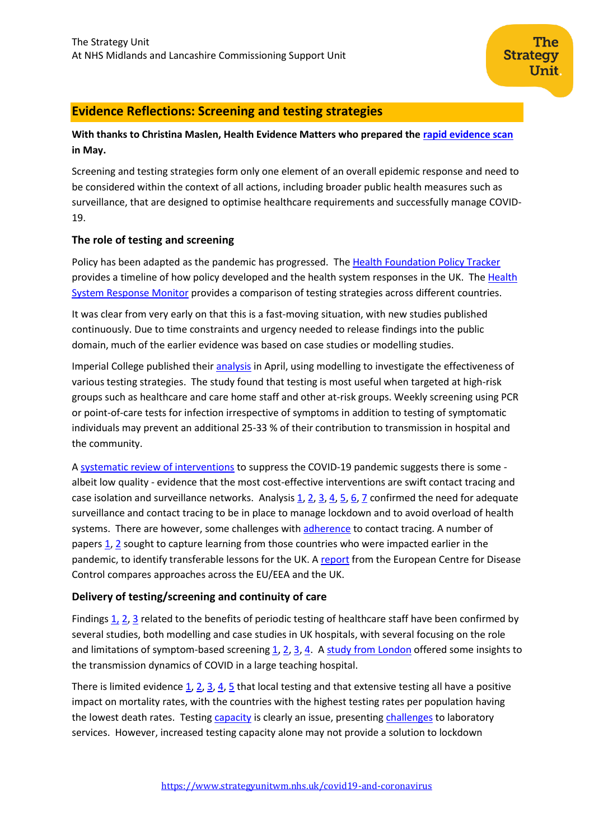## **Evidence Reflections: Screening and testing strategies**

## **With thanks to Christina Maslen, Health Evidence Matters who prepared the [rapid evidence scan](https://www.strategyunitwm.nhs.uk/sites/default/files/2020-05/20200521%20Evidence%20rapid%20scan%204%20-%20screening%20and%20testing%20strategies.pdf) in May.**

Screening and testing strategies form only one element of an overall epidemic response and need to be considered within the context of all actions, including broader public health measures such as surveillance, that are designed to optimise healthcare requirements and successfully manage COVID-19.

### **The role of testing and screening**

Policy has been adapted as the pandemic has progressed. Th[e Health Foundation Policy Tracker](https://www.health.org.uk/news-and-comment/charts-and-infographics/covid-19-policy-tracker) provides a timeline of how policy developed and the health system responses in the UK. The Health [System Response Monitor](https://www.covid19healthsystem.org/mainpage.aspx) provides a comparison of testing strategies across different countries.

It was clear from very early on that this is a fast-moving situation, with new studies published continuously. Due to time constraints and urgency needed to release findings into the public domain, much of the earlier evidence was based on case studies or modelling studies.

Imperial College published their [analysis](https://www.imperial.ac.uk/media/imperial-college/medicine/mrc-gida/2020-04-23-COVID19-Report-16.pdf) in April, using modelling to investigate the effectiveness of various testing strategies. The study found that testing is most useful when targeted at high-risk groups such as healthcare and care home staff and other at-risk groups. Weekly screening using PCR or point-of-care tests for infection irrespective of symptoms in addition to testing of symptomatic individuals may prevent an additional 25-33 % of their contribution to transmission in hospital and the community.

A [systematic review of interventions](https://www.medrxiv.org/content/10.1101/2020.04.20.20054726v2) to suppress the COVID-19 pandemic suggests there is some albeit low quality - evidence that the most cost-effective interventions are swift contact tracing and case isolation and surveillance networks. Analysis  $1, 2, 3, 4, 5, 6, 7$  $1, 2, 3, 4, 5, 6, 7$  $1, 2, 3, 4, 5, 6, 7$  $1, 2, 3, 4, 5, 6, 7$  $1, 2, 3, 4, 5, 6, 7$  $1, 2, 3, 4, 5, 6, 7$  $1, 2, 3, 4, 5, 6, 7$  $1, 2, 3, 4, 5, 6, 7$  confirmed the need for adequate surveillance and contact tracing to be in place to manage lockdown and to avoid overload of health systems. There are however, some challenges with [adherence](https://www.medrxiv.org/content/10.1101/2020.08.20.20178558v1) to contact tracing. A number of papers  $1, 2$  $1, 2$  sought to capture learning from those countries who were impacted earlier in the pandemic, to identify transferable lessons for the UK. [A report](https://www.ecdc.europa.eu/en/publications-data/population-wide-testing-sars-cov-2-country-experiences-and-potential-approaches) from the European Centre for Disease Control compares approaches across the EU/EEA and the UK.

### **Delivery of testing/screening and continuity of care**

Findings  $1, 2, 3$  $1, 2, 3$  $1, 2, 3$  related to the benefits of periodic testing of healthcare staff have been confirmed by several studies, both modelling and case studies in UK hospitals, with several focusing on the role and limitations of symptom-based screening [1,](https://www.journalofhospitalinfection.com/article/S0195-6701(20)30259-0/pdf) [2,](https://pubmed.ncbi.nlm.nih.gov/32396670/) [3,](https://link.springer.com/article/10.1007/s00405-020-06237-8) [4.](https://www.mdpi.com/2077-0383/9/9/2870) [A study from London](https://www.journalofhospitalinfection.com/article/S0195-6701(20)30356-X/fulltext) offered some insights to the transmission dynamics of COVID in a large teaching hospital.

There is limited evidence  $1, 2, 3, 4, 5$  $1, 2, 3, 4, 5$  $1, 2, 3, 4, 5$  $1, 2, 3, 4, 5$  $1, 2, 3, 4, 5$  that local testing and that extensive testing all have a positive impact on mortality rates, with the countries with the highest testing rates per population having the lowest death rates. Testing [capacity](https://www.mdpi.com/2075-4418/10/7/464) is clearly an issue, presenting [challenges](https://www.tandfonline.com/doi/full/10.1080/10408363.2020.1776675) to laboratory services. However, increased testing capacity alone may not provide a solution to lockdown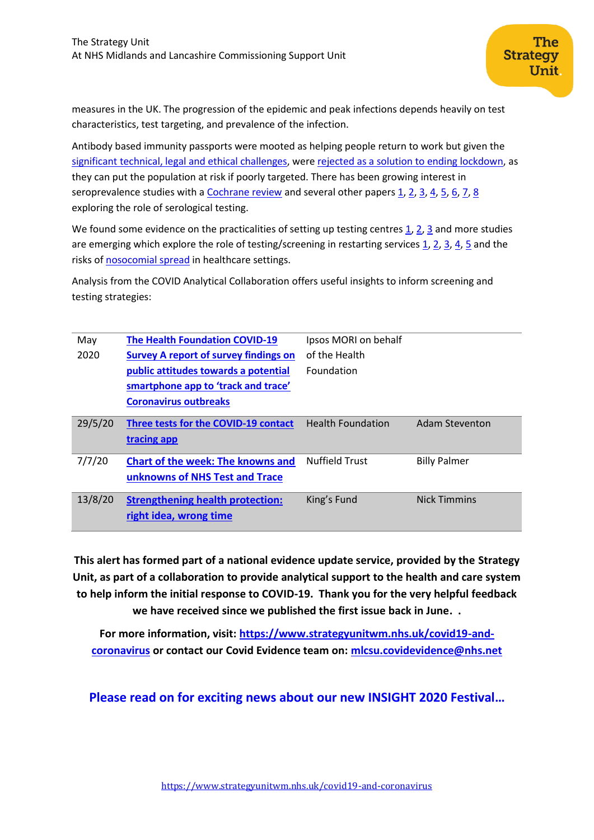measures in the UK. The progression of the epidemic and peak infections depends heavily on test characteristics, test targeting, and prevalence of the infection.

Antibody based immunity passports were mooted as helping people return to work but given the [significant technical, legal and ethical challenges,](https://www.imperial.ac.uk/media/imperial-college/medicine/mrc-gida/2020-04-23-COVID19-Report-16.pdf) were [rejected as a solution to ending lockdown,](https://www.medrxiv.org/content/10.1101/2020.04.16.20067884v3) as they can put the population at risk if poorly targeted. There has been growing interest in seroprevalence studies with a [Cochrane review](https://www.cochranelibrary.com/cdsr/doi/10.1002/14651858.CD013652/full) and several other papers  $1, 2, 3, 4, 5, 6, 7, 8$  $1, 2, 3, 4, 5, 6, 7, 8$  $1, 2, 3, 4, 5, 6, 7, 8$  $1, 2, 3, 4, 5, 6, 7, 8$  $1, 2, 3, 4, 5, 6, 7, 8$  $1, 2, 3, 4, 5, 6, 7, 8$  $1, 2, 3, 4, 5, 6, 7, 8$  $1, 2, 3, 4, 5, 6, 7, 8$ exploring the role of serological testing.

We found some evidence on the practicalities of setting up testing centres  $1, 2, 3$  $1, 2, 3$  $1, 2, 3$  and more studies are emerging which explore the role of testing/screening in restarting services  $\frac{1}{2}$ ,  $\frac{2}{2}$ ,  $\frac{3}{2}$ ,  $\frac{4}{2}$ ,  $\frac{5}{2}$  and the risks of [nosocomial spread](https://www.rcpjournals.org/content/clinmedicine/20/5/e173) in healthcare settings.

Analysis from the COVID Analytical Collaboration offers useful insights to inform screening and testing strategies:

| May     | <b>The Health Foundation COVID-19</b>        | Ipsos MORI on behalf     |                     |
|---------|----------------------------------------------|--------------------------|---------------------|
| 2020    | <b>Survey A report of survey findings on</b> | of the Health            |                     |
|         | public attitudes towards a potential         | Foundation               |                     |
|         | smartphone app to 'track and trace'          |                          |                     |
|         | <b>Coronavirus outbreaks</b>                 |                          |                     |
| 29/5/20 | Three tests for the COVID-19 contact         | <b>Health Foundation</b> | Adam Steventon      |
|         | tracing app                                  |                          |                     |
| 7/7/20  | <b>Chart of the week: The knowns and</b>     | <b>Nuffield Trust</b>    | <b>Billy Palmer</b> |
|         | unknowns of NHS Test and Trace               |                          |                     |
| 13/8/20 | <b>Strengthening health protection:</b>      | King's Fund              | <b>Nick Timmins</b> |
|         | right idea, wrong time                       |                          |                     |

**This alert has formed part of a national evidence update service, provided by the Strategy Unit, as part of a collaboration to provide analytical support to the health and care system to help inform the initial response to COVID-19. Thank you for the very helpful feedback we have received since we published the first issue back in June. .**

**For more information, visit: [https://www.strategyunitwm.nhs.uk/covid19-and](https://www.strategyunitwm.nhs.uk/covid19-and-coronavirus)[coronavirus](https://www.strategyunitwm.nhs.uk/covid19-and-coronavirus) or contact our Covid Evidence team on: [mlcsu.covidevidence@nhs.net](mailto:mlcsu.covidevidence@nhs.net)**

**Please read on for exciting news about our new INSIGHT 2020 Festival…**